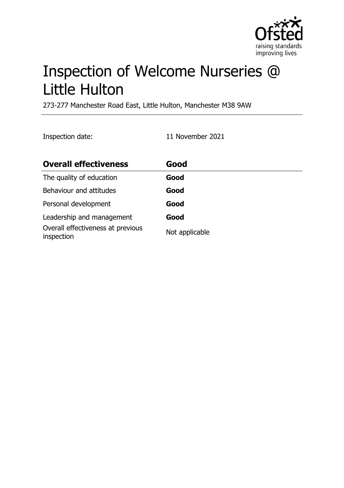

# Inspection of Welcome Nurseries @ Little Hulton

273-277 Manchester Road East, Little Hulton, Manchester M38 9AW

Inspection date: 11 November 2021

| <b>Overall effectiveness</b>                    | Good           |
|-------------------------------------------------|----------------|
| The quality of education                        | Good           |
| Behaviour and attitudes                         | Good           |
| Personal development                            | Good           |
| Leadership and management                       | Good           |
| Overall effectiveness at previous<br>inspection | Not applicable |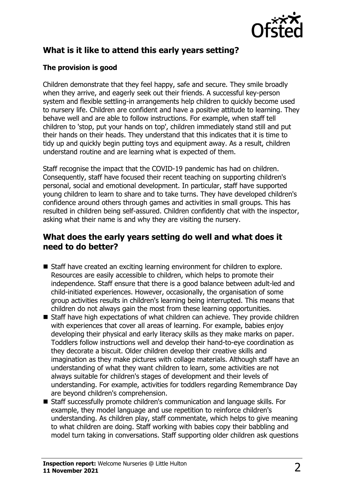

# **What is it like to attend this early years setting?**

#### **The provision is good**

Children demonstrate that they feel happy, safe and secure. They smile broadly when they arrive, and eagerly seek out their friends. A successful key-person system and flexible settling-in arrangements help children to quickly become used to nursery life. Children are confident and have a positive attitude to learning. They behave well and are able to follow instructions. For example, when staff tell children to 'stop, put your hands on top', children immediately stand still and put their hands on their heads. They understand that this indicates that it is time to tidy up and quickly begin putting toys and equipment away. As a result, children understand routine and are learning what is expected of them.

Staff recognise the impact that the COVID-19 pandemic has had on children. Consequently, staff have focused their recent teaching on supporting children's personal, social and emotional development. In particular, staff have supported young children to learn to share and to take turns. They have developed children's confidence around others through games and activities in small groups. This has resulted in children being self-assured. Children confidently chat with the inspector, asking what their name is and why they are visiting the nursery.

## **What does the early years setting do well and what does it need to do better?**

- Staff have created an exciting learning environment for children to explore. Resources are easily accessible to children, which helps to promote their independence. Staff ensure that there is a good balance between adult-led and child-initiated experiences. However, occasionally, the organisation of some group activities results in children's learning being interrupted. This means that children do not always gain the most from these learning opportunities.
- $\blacksquare$  Staff have high expectations of what children can achieve. They provide children with experiences that cover all areas of learning. For example, babies enjoy developing their physical and early literacy skills as they make marks on paper. Toddlers follow instructions well and develop their hand-to-eye coordination as they decorate a biscuit. Older children develop their creative skills and imagination as they make pictures with collage materials. Although staff have an understanding of what they want children to learn, some activities are not always suitable for children's stages of development and their levels of understanding. For example, activities for toddlers regarding Remembrance Day are beyond children's comprehension.
- Staff successfully promote children's communication and language skills. For example, they model language and use repetition to reinforce children's understanding. As children play, staff commentate, which helps to give meaning to what children are doing. Staff working with babies copy their babbling and model turn taking in conversations. Staff supporting older children ask questions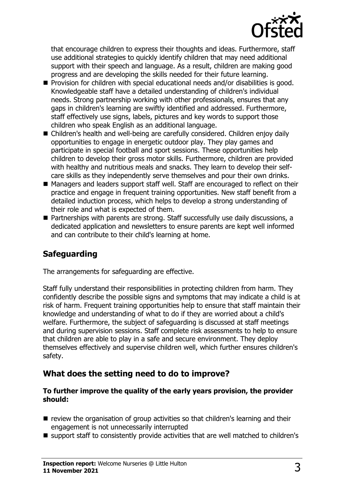

that encourage children to express their thoughts and ideas. Furthermore, staff use additional strategies to quickly identify children that may need additional support with their speech and language. As a result, children are making good progress and are developing the skills needed for their future learning.

- Provision for children with special educational needs and/or disabilities is good. Knowledgeable staff have a detailed understanding of children's individual needs. Strong partnership working with other professionals, ensures that any gaps in children's learning are swiftly identified and addressed. Furthermore, staff effectively use signs, labels, pictures and key words to support those children who speak English as an additional language.
- Children's health and well-being are carefully considered. Children enjoy daily opportunities to engage in energetic outdoor play. They play games and participate in special football and sport sessions. These opportunities help children to develop their gross motor skills. Furthermore, children are provided with healthy and nutritious meals and snacks. They learn to develop their selfcare skills as they independently serve themselves and pour their own drinks.
- Managers and leaders support staff well. Staff are encouraged to reflect on their practice and engage in frequent training opportunities. New staff benefit from a detailed induction process, which helps to develop a strong understanding of their role and what is expected of them.
- Partnerships with parents are strong. Staff successfully use daily discussions, a dedicated application and newsletters to ensure parents are kept well informed and can contribute to their child's learning at home.

# **Safeguarding**

The arrangements for safeguarding are effective.

Staff fully understand their responsibilities in protecting children from harm. They confidently describe the possible signs and symptoms that may indicate a child is at risk of harm. Frequent training opportunities help to ensure that staff maintain their knowledge and understanding of what to do if they are worried about a child's welfare. Furthermore, the subject of safeguarding is discussed at staff meetings and during supervision sessions. Staff complete risk assessments to help to ensure that children are able to play in a safe and secure environment. They deploy themselves effectively and supervise children well, which further ensures children's safety.

# **What does the setting need to do to improve?**

#### **To further improve the quality of the early years provision, the provider should:**

- $\blacksquare$  review the organisation of group activities so that children's learning and their engagement is not unnecessarily interrupted
- support staff to consistently provide activities that are well matched to children's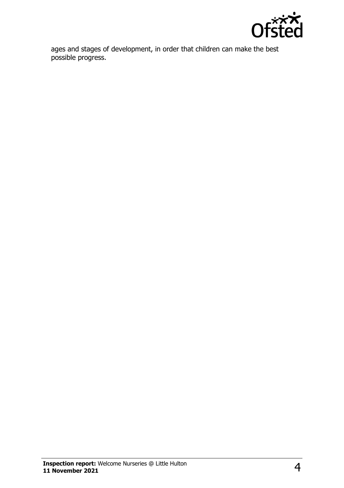

ages and stages of development, in order that children can make the best possible progress.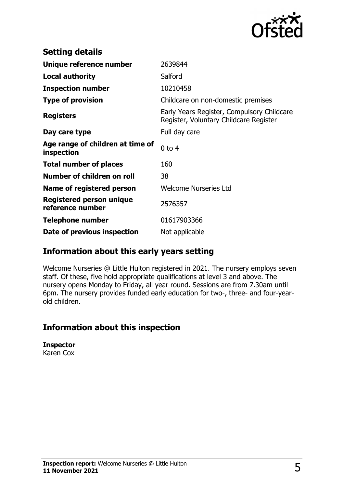

| <b>Setting details</b>                         |                                                                                      |
|------------------------------------------------|--------------------------------------------------------------------------------------|
| Unique reference number                        | 2639844                                                                              |
| <b>Local authority</b>                         | Salford                                                                              |
| <b>Inspection number</b>                       | 10210458                                                                             |
| <b>Type of provision</b>                       | Childcare on non-domestic premises                                                   |
| <b>Registers</b>                               | Early Years Register, Compulsory Childcare<br>Register, Voluntary Childcare Register |
| Day care type                                  | Full day care                                                                        |
| Age range of children at time of<br>inspection | $0$ to $4$                                                                           |
| <b>Total number of places</b>                  | 160                                                                                  |
| Number of children on roll                     | 38                                                                                   |
| Name of registered person                      | <b>Welcome Nurseries Ltd</b>                                                         |
| Registered person unique<br>reference number   | 2576357                                                                              |
| <b>Telephone number</b>                        | 01617903366                                                                          |
| Date of previous inspection                    | Not applicable                                                                       |

## **Information about this early years setting**

Welcome Nurseries @ Little Hulton registered in 2021. The nursery employs seven staff. Of these, five hold appropriate qualifications at level 3 and above. The nursery opens Monday to Friday, all year round. Sessions are from 7.30am until 6pm. The nursery provides funded early education for two-, three- and four-yearold children.

## **Information about this inspection**

**Inspector** Karen Cox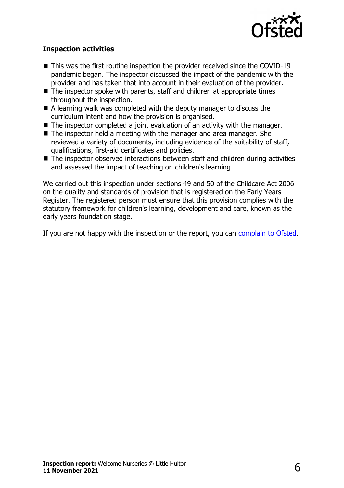

#### **Inspection activities**

- $\blacksquare$  This was the first routine inspection the provider received since the COVID-19 pandemic began. The inspector discussed the impact of the pandemic with the provider and has taken that into account in their evaluation of the provider.
- $\blacksquare$  The inspector spoke with parents, staff and children at appropriate times throughout the inspection.
- $\blacksquare$  A learning walk was completed with the deputy manager to discuss the curriculum intent and how the provision is organised.
- $\blacksquare$  The inspector completed a joint evaluation of an activity with the manager.
- $\blacksquare$  The inspector held a meeting with the manager and area manager. She reviewed a variety of documents, including evidence of the suitability of staff, qualifications, first-aid certificates and policies.
- $\blacksquare$  The inspector observed interactions between staff and children during activities and assessed the impact of teaching on children's learning.

We carried out this inspection under sections 49 and 50 of the Childcare Act 2006 on the quality and standards of provision that is registered on the Early Years Register. The registered person must ensure that this provision complies with the statutory framework for children's learning, development and care, known as the early years foundation stage.

If you are not happy with the inspection or the report, you can [complain to Ofsted](http://www.gov.uk/complain-ofsted-report).